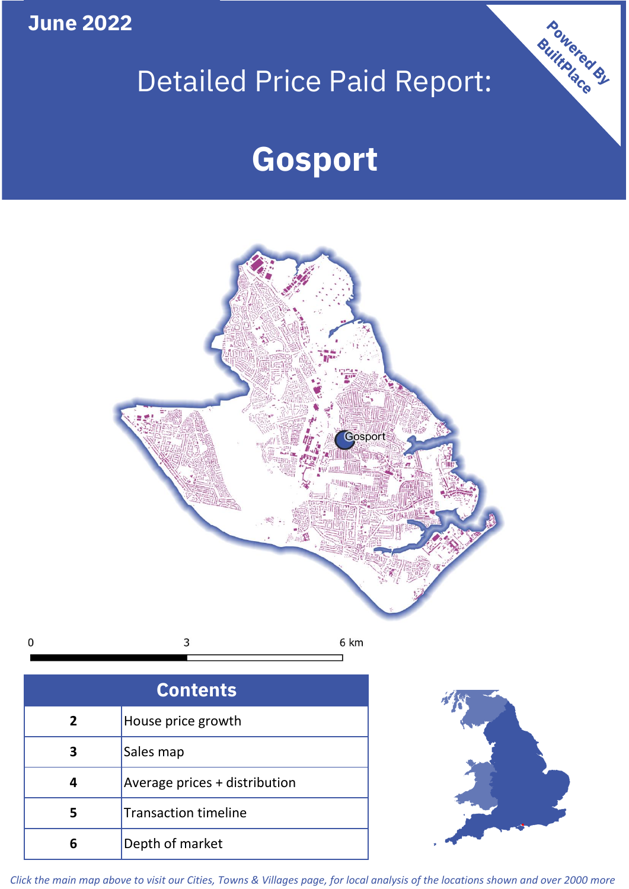**June 2022**

 $\mathbf 0$ 

# Detailed Price Paid Report:

# **Gosport**



| <b>Contents</b> |                               |  |  |
|-----------------|-------------------------------|--|--|
| $\mathbf{2}$    | House price growth            |  |  |
| 3               | Sales map                     |  |  |
|                 | Average prices + distribution |  |  |
| 5               | <b>Transaction timeline</b>   |  |  |
|                 | Depth of market               |  |  |



Powered By

*Click the main map above to visit our Cities, Towns & Villages page, for local analysis of the locations shown and over 2000 more*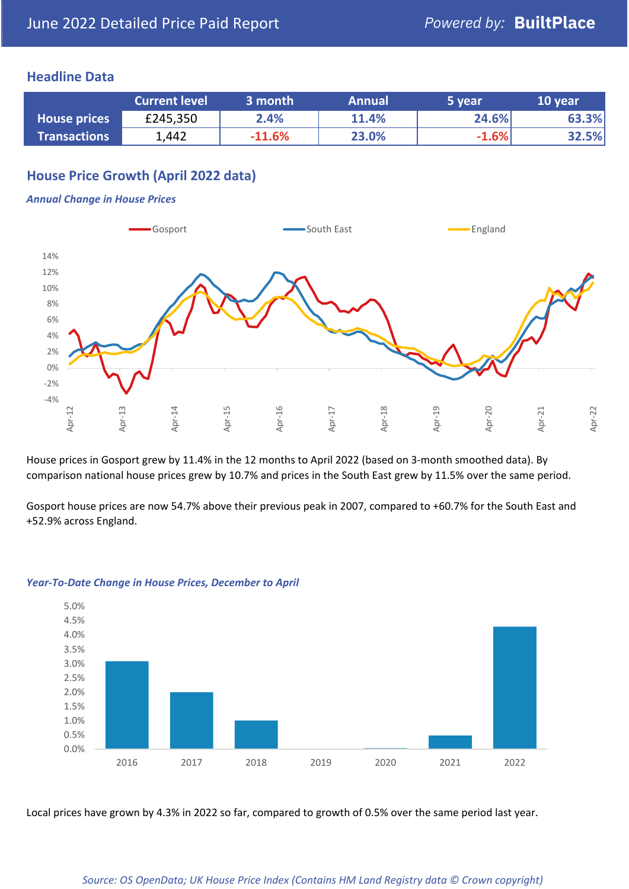### **Headline Data**

|                     | <b>Current level</b> | 3 month  | <b>Annual</b> | '5 vear. | 10 year |
|---------------------|----------------------|----------|---------------|----------|---------|
| <b>House prices</b> | £245,350             | 2.4%     | 11.4%         | 24.6%    | 63.3%   |
| <b>Transactions</b> | 1,442                | $-11.6%$ | 23.0%         | $-1.6%$  | 32.5%   |

## **House Price Growth (April 2022 data)**

#### *Annual Change in House Prices*



House prices in Gosport grew by 11.4% in the 12 months to April 2022 (based on 3-month smoothed data). By comparison national house prices grew by 10.7% and prices in the South East grew by 11.5% over the same period.

Gosport house prices are now 54.7% above their previous peak in 2007, compared to +60.7% for the South East and +52.9% across England.



#### *Year-To-Date Change in House Prices, December to April*

Local prices have grown by 4.3% in 2022 so far, compared to growth of 0.5% over the same period last year.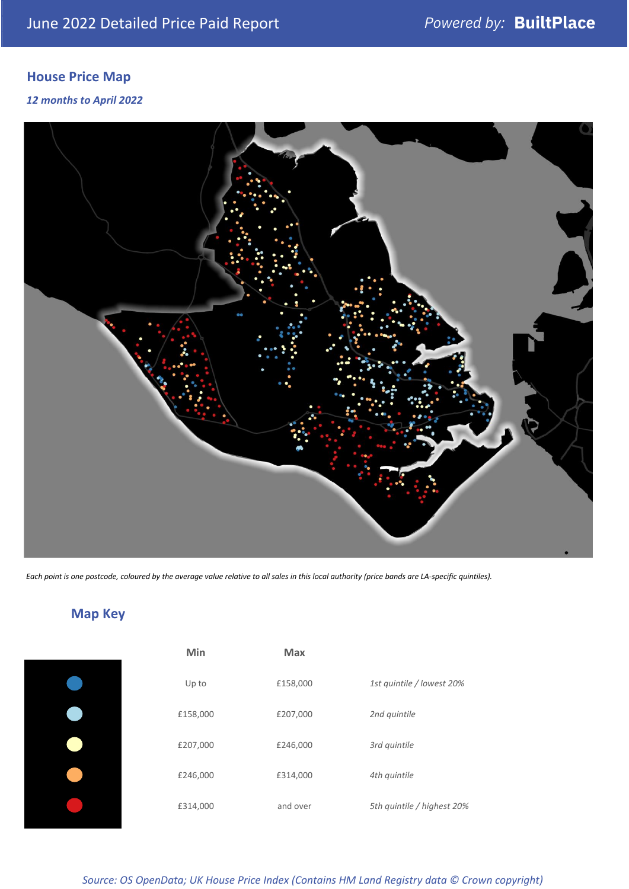## **House Price Map**

*12 months to April 2022*



*Each point is one postcode, coloured by the average value relative to all sales in this local authority (price bands are LA-specific quintiles).*

| Min      | <b>Max</b> |                            |
|----------|------------|----------------------------|
| Up to    | £158,000   | 1st quintile / lowest 20%  |
| £158,000 | £207,000   | 2nd quintile               |
| £207,000 | £246,000   | 3rd quintile               |
| £246,000 | £314,000   | 4th quintile               |
| £314,000 | and over   | 5th quintile / highest 20% |

## **Map Key**

*Source: OS OpenData; UK House Price Index (Contains HM Land Registry data © Crown copyright)*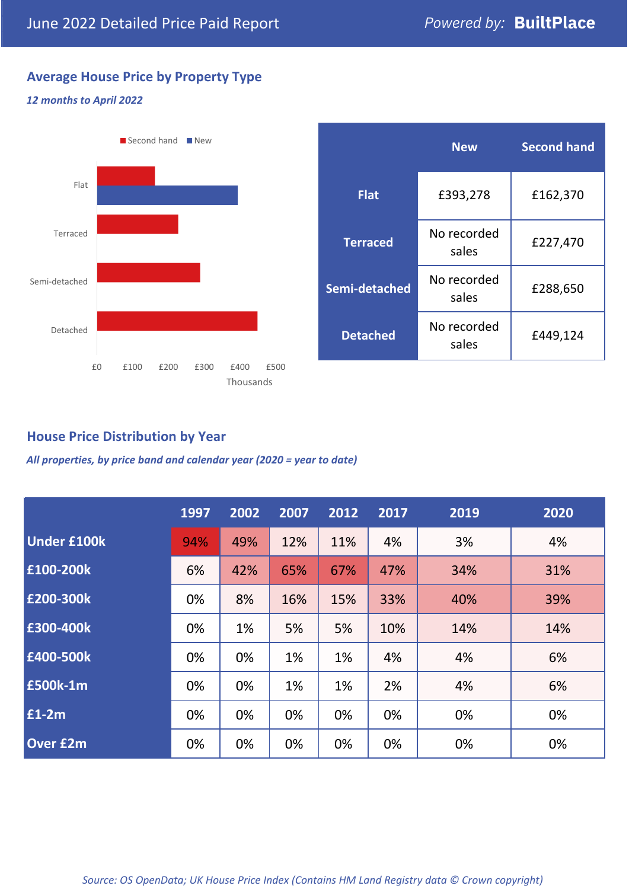## **Average House Price by Property Type**

#### *12 months to April 2022*



|                 | <b>New</b>           | <b>Second hand</b> |  |  |
|-----------------|----------------------|--------------------|--|--|
| <b>Flat</b>     | £393,278             | £162,370           |  |  |
| <b>Terraced</b> | No recorded<br>sales | £227,470           |  |  |
| Semi-detached   | No recorded<br>sales | £288,650           |  |  |
| <b>Detached</b> | No recorded<br>sales | £449,124           |  |  |

## **House Price Distribution by Year**

*All properties, by price band and calendar year (2020 = year to date)*

|                    | 1997 | 2002 | 2007 | 2012 | 2017 | 2019 | 2020 |
|--------------------|------|------|------|------|------|------|------|
| <b>Under £100k</b> | 94%  | 49%  | 12%  | 11%  | 4%   | 3%   | 4%   |
| £100-200k          | 6%   | 42%  | 65%  | 67%  | 47%  | 34%  | 31%  |
| £200-300k          | 0%   | 8%   | 16%  | 15%  | 33%  | 40%  | 39%  |
| £300-400k          | 0%   | 1%   | 5%   | 5%   | 10%  | 14%  | 14%  |
| £400-500k          | 0%   | 0%   | 1%   | 1%   | 4%   | 4%   | 6%   |
| £500k-1m           | 0%   | 0%   | 1%   | 1%   | 2%   | 4%   | 6%   |
| £1-2m              | 0%   | 0%   | 0%   | 0%   | 0%   | 0%   | 0%   |
| <b>Over £2m</b>    | 0%   | 0%   | 0%   | 0%   | 0%   | 0%   | 0%   |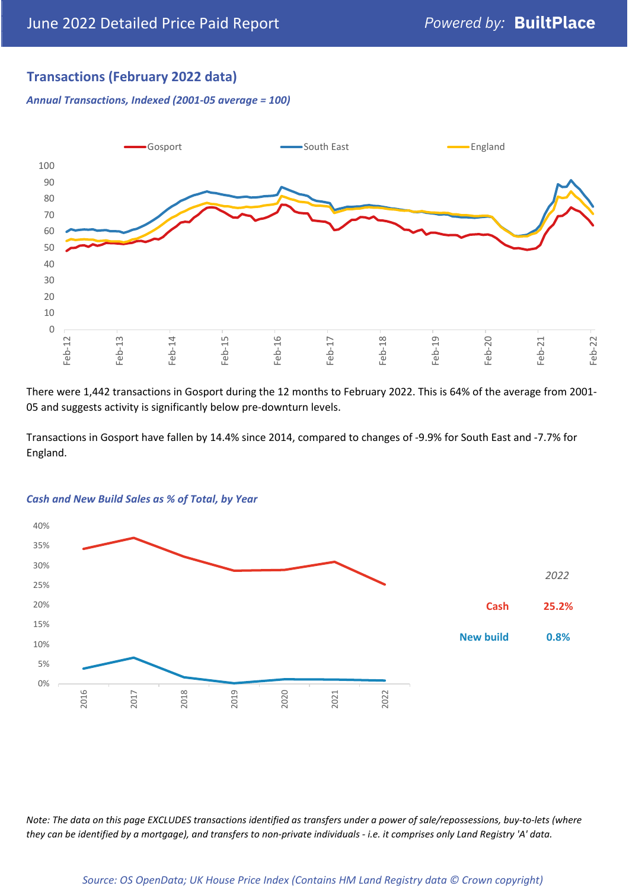## **Transactions (February 2022 data)**

*Annual Transactions, Indexed (2001-05 average = 100)*



There were 1,442 transactions in Gosport during the 12 months to February 2022. This is 64% of the average from 2001- 05 and suggests activity is significantly below pre-downturn levels.

Transactions in Gosport have fallen by 14.4% since 2014, compared to changes of -9.9% for South East and -7.7% for England.



#### *Cash and New Build Sales as % of Total, by Year*

*Note: The data on this page EXCLUDES transactions identified as transfers under a power of sale/repossessions, buy-to-lets (where they can be identified by a mortgage), and transfers to non-private individuals - i.e. it comprises only Land Registry 'A' data.*